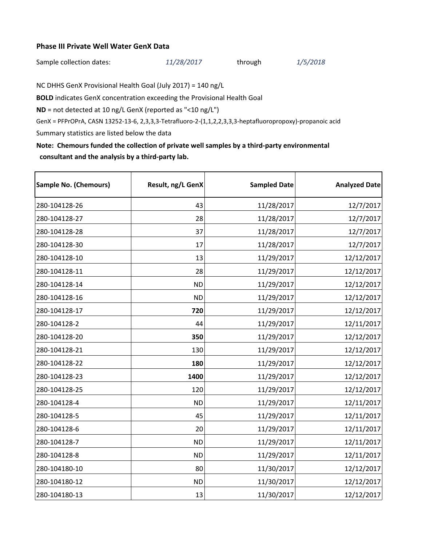## **Phase III Private Well Water GenX Data**

Sample collection dates: *11/28/2017* through *1/5/2018*

NC DHHS GenX Provisional Health Goal (July 2017) = 140 ng/L

**BOLD** indicates GenX concentration exceeding the Provisional Health Goal

**ND** = not detected at 10 ng/L GenX (reported as "<10 ng/L")

GenX = PFPrOPrA, CASN 13252‐13‐6, 2,3,3,3‐Tetrafluoro‐2‐(1,1,2,2,3,3,3‐heptafluoropropoxy)‐propanoic acid Summary statistics are listed below the data

**Note: Chemours funded the collection of private well samples by a third‐party environmental consultant and the analysis by a third‐party lab.**

| <b>Sample No. (Chemours)</b> | Result, ng/L GenX | <b>Sampled Date</b> | <b>Analyzed Date</b> |
|------------------------------|-------------------|---------------------|----------------------|
| 280-104128-26                | 43                | 11/28/2017          | 12/7/2017            |
| 280-104128-27                | 28                | 11/28/2017          | 12/7/2017            |
| 280-104128-28                | 37                | 11/28/2017          | 12/7/2017            |
| 280-104128-30                | 17                | 11/28/2017          | 12/7/2017            |
| 280-104128-10                | 13                | 11/29/2017          | 12/12/2017           |
| 280-104128-11                | 28                | 11/29/2017          | 12/12/2017           |
| 280-104128-14                | <b>ND</b>         | 11/29/2017          | 12/12/2017           |
| 280-104128-16                | <b>ND</b>         | 11/29/2017          | 12/12/2017           |
| 280-104128-17                | 720               | 11/29/2017          | 12/12/2017           |
| 280-104128-2                 | 44                | 11/29/2017          | 12/11/2017           |
| 280-104128-20                | 350               | 11/29/2017          | 12/12/2017           |
| 280-104128-21                | 130               | 11/29/2017          | 12/12/2017           |
| 280-104128-22                | 180               | 11/29/2017          | 12/12/2017           |
| 280-104128-23                | 1400              | 11/29/2017          | 12/12/2017           |
| 280-104128-25                | 120               | 11/29/2017          | 12/12/2017           |
| 280-104128-4                 | <b>ND</b>         | 11/29/2017          | 12/11/2017           |
| 280-104128-5                 | 45                | 11/29/2017          | 12/11/2017           |
| 280-104128-6                 | 20                | 11/29/2017          | 12/11/2017           |
| 280-104128-7                 | <b>ND</b>         | 11/29/2017          | 12/11/2017           |
| 280-104128-8                 | <b>ND</b>         | 11/29/2017          | 12/11/2017           |
| 280-104180-10                | 80                | 11/30/2017          | 12/12/2017           |
| 280-104180-12                | <b>ND</b>         | 11/30/2017          | 12/12/2017           |
| 280-104180-13                | 13                | 11/30/2017          | 12/12/2017           |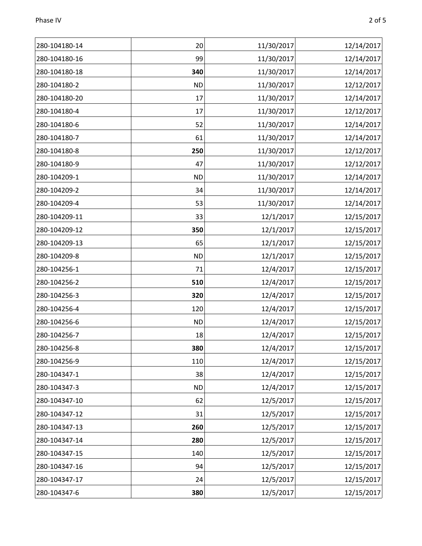| 280-104180-14 | 20        | 11/30/2017 | 12/14/2017 |
|---------------|-----------|------------|------------|
| 280-104180-16 | 99        | 11/30/2017 | 12/14/2017 |
| 280-104180-18 | 340       | 11/30/2017 | 12/14/2017 |
| 280-104180-2  | <b>ND</b> | 11/30/2017 | 12/12/2017 |
| 280-104180-20 | 17        | 11/30/2017 | 12/14/2017 |
| 280-104180-4  | 17        | 11/30/2017 | 12/12/2017 |
| 280-104180-6  | 52        | 11/30/2017 | 12/14/2017 |
| 280-104180-7  | 61        | 11/30/2017 | 12/14/2017 |
| 280-104180-8  | 250       | 11/30/2017 | 12/12/2017 |
| 280-104180-9  | 47        | 11/30/2017 | 12/12/2017 |
| 280-104209-1  | <b>ND</b> | 11/30/2017 | 12/14/2017 |
| 280-104209-2  | 34        | 11/30/2017 | 12/14/2017 |
| 280-104209-4  | 53        | 11/30/2017 | 12/14/2017 |
| 280-104209-11 | 33        | 12/1/2017  | 12/15/2017 |
| 280-104209-12 | 350       | 12/1/2017  | 12/15/2017 |
| 280-104209-13 | 65        | 12/1/2017  | 12/15/2017 |
| 280-104209-8  | <b>ND</b> | 12/1/2017  | 12/15/2017 |
| 280-104256-1  | 71        | 12/4/2017  | 12/15/2017 |
| 280-104256-2  | 510       | 12/4/2017  | 12/15/2017 |
| 280-104256-3  | 320       | 12/4/2017  | 12/15/2017 |
| 280-104256-4  | 120       | 12/4/2017  | 12/15/2017 |
| 280-104256-6  | <b>ND</b> | 12/4/2017  | 12/15/2017 |
| 280-104256-7  | 18        | 12/4/2017  | 12/15/2017 |
| 280-104256-8  | 380       | 12/4/2017  | 12/15/2017 |
| 280-104256-9  | 110       | 12/4/2017  | 12/15/2017 |
| 280-104347-1  | 38        | 12/4/2017  | 12/15/2017 |
| 280-104347-3  | <b>ND</b> | 12/4/2017  | 12/15/2017 |
| 280-104347-10 | 62        | 12/5/2017  | 12/15/2017 |
| 280-104347-12 | 31        | 12/5/2017  | 12/15/2017 |
| 280-104347-13 | 260       | 12/5/2017  | 12/15/2017 |
| 280-104347-14 | 280       | 12/5/2017  | 12/15/2017 |
| 280-104347-15 | 140       | 12/5/2017  | 12/15/2017 |
| 280-104347-16 | 94        | 12/5/2017  | 12/15/2017 |
| 280-104347-17 | 24        | 12/5/2017  | 12/15/2017 |
| 280-104347-6  | 380       | 12/5/2017  | 12/15/2017 |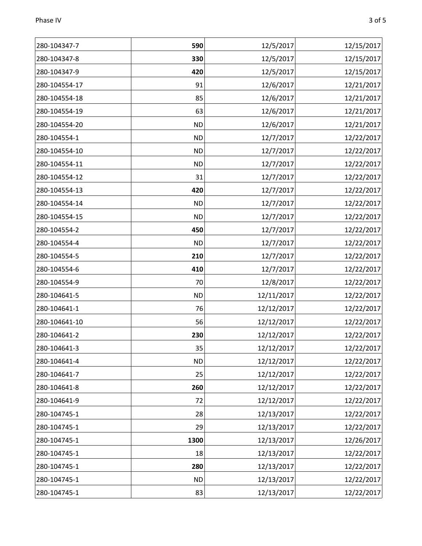| 280-104347-7  | 590       | 12/5/2017  | 12/15/2017 |
|---------------|-----------|------------|------------|
| 280-104347-8  | 330       | 12/5/2017  | 12/15/2017 |
| 280-104347-9  | 420       | 12/5/2017  | 12/15/2017 |
| 280-104554-17 | 91        | 12/6/2017  | 12/21/2017 |
| 280-104554-18 | 85        | 12/6/2017  | 12/21/2017 |
| 280-104554-19 | 63        | 12/6/2017  | 12/21/2017 |
| 280-104554-20 | <b>ND</b> | 12/6/2017  | 12/21/2017 |
| 280-104554-1  | <b>ND</b> | 12/7/2017  | 12/22/2017 |
| 280-104554-10 | <b>ND</b> | 12/7/2017  | 12/22/2017 |
| 280-104554-11 | <b>ND</b> | 12/7/2017  | 12/22/2017 |
| 280-104554-12 | 31        | 12/7/2017  | 12/22/2017 |
| 280-104554-13 | 420       | 12/7/2017  | 12/22/2017 |
| 280-104554-14 | <b>ND</b> | 12/7/2017  | 12/22/2017 |
| 280-104554-15 | <b>ND</b> | 12/7/2017  | 12/22/2017 |
| 280-104554-2  | 450       | 12/7/2017  | 12/22/2017 |
| 280-104554-4  | <b>ND</b> | 12/7/2017  | 12/22/2017 |
| 280-104554-5  | 210       | 12/7/2017  | 12/22/2017 |
| 280-104554-6  | 410       | 12/7/2017  | 12/22/2017 |
| 280-104554-9  | 70        | 12/8/2017  | 12/22/2017 |
| 280-104641-5  | <b>ND</b> | 12/11/2017 | 12/22/2017 |
| 280-104641-1  | 76        | 12/12/2017 | 12/22/2017 |
| 280-104641-10 | 56        | 12/12/2017 | 12/22/2017 |
| 280-104641-2  | 230       | 12/12/2017 | 12/22/2017 |
| 280-104641-3  | 35        | 12/12/2017 | 12/22/2017 |
| 280-104641-4  | <b>ND</b> | 12/12/2017 | 12/22/2017 |
| 280-104641-7  | 25        | 12/12/2017 | 12/22/2017 |
| 280-104641-8  | 260       | 12/12/2017 | 12/22/2017 |
| 280-104641-9  | 72        | 12/12/2017 | 12/22/2017 |
| 280-104745-1  | 28        | 12/13/2017 | 12/22/2017 |
| 280-104745-1  | 29        | 12/13/2017 | 12/22/2017 |
| 280-104745-1  | 1300      | 12/13/2017 | 12/26/2017 |
| 280-104745-1  | 18        | 12/13/2017 | 12/22/2017 |
| 280-104745-1  | 280       | 12/13/2017 | 12/22/2017 |
| 280-104745-1  | <b>ND</b> | 12/13/2017 | 12/22/2017 |
| 280-104745-1  | 83        | 12/13/2017 | 12/22/2017 |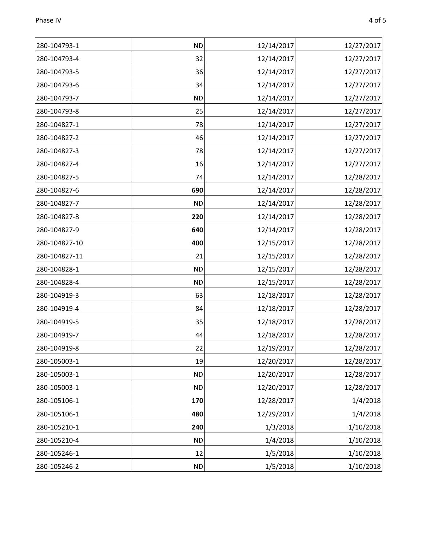| 280-104793-1  | <b>ND</b> | 12/14/2017 | 12/27/2017 |
|---------------|-----------|------------|------------|
| 280-104793-4  | 32        | 12/14/2017 | 12/27/2017 |
| 280-104793-5  | 36        | 12/14/2017 | 12/27/2017 |
| 280-104793-6  | 34        | 12/14/2017 | 12/27/2017 |
| 280-104793-7  | <b>ND</b> | 12/14/2017 | 12/27/2017 |
| 280-104793-8  | 25        | 12/14/2017 | 12/27/2017 |
| 280-104827-1  | 78        | 12/14/2017 | 12/27/2017 |
| 280-104827-2  | 46        | 12/14/2017 | 12/27/2017 |
| 280-104827-3  | 78        | 12/14/2017 | 12/27/2017 |
| 280-104827-4  | 16        | 12/14/2017 | 12/27/2017 |
| 280-104827-5  | 74        | 12/14/2017 | 12/28/2017 |
| 280-104827-6  | 690       | 12/14/2017 | 12/28/2017 |
| 280-104827-7  | <b>ND</b> | 12/14/2017 | 12/28/2017 |
| 280-104827-8  | 220       | 12/14/2017 | 12/28/2017 |
| 280-104827-9  | 640       | 12/14/2017 | 12/28/2017 |
| 280-104827-10 | 400       | 12/15/2017 | 12/28/2017 |
| 280-104827-11 | 21        | 12/15/2017 | 12/28/2017 |
| 280-104828-1  | <b>ND</b> | 12/15/2017 | 12/28/2017 |
| 280-104828-4  | <b>ND</b> | 12/15/2017 | 12/28/2017 |
| 280-104919-3  | 63        | 12/18/2017 | 12/28/2017 |
| 280-104919-4  | 84        | 12/18/2017 | 12/28/2017 |
| 280-104919-5  | 35        | 12/18/2017 | 12/28/2017 |
| 280-104919-7  | 44        | 12/18/2017 | 12/28/2017 |
| 280-104919-8  | 22        | 12/19/2017 | 12/28/2017 |
| 280-105003-1  | 19        | 12/20/2017 | 12/28/2017 |
| 280-105003-1  | <b>ND</b> | 12/20/2017 | 12/28/2017 |
| 280-105003-1  | <b>ND</b> | 12/20/2017 | 12/28/2017 |
| 280-105106-1  | 170       | 12/28/2017 | 1/4/2018   |
| 280-105106-1  | 480       | 12/29/2017 | 1/4/2018   |
| 280-105210-1  | 240       | 1/3/2018   | 1/10/2018  |
| 280-105210-4  | <b>ND</b> | 1/4/2018   | 1/10/2018  |
| 280-105246-1  | 12        | 1/5/2018   | 1/10/2018  |
| 280-105246-2  | <b>ND</b> | 1/5/2018   | 1/10/2018  |